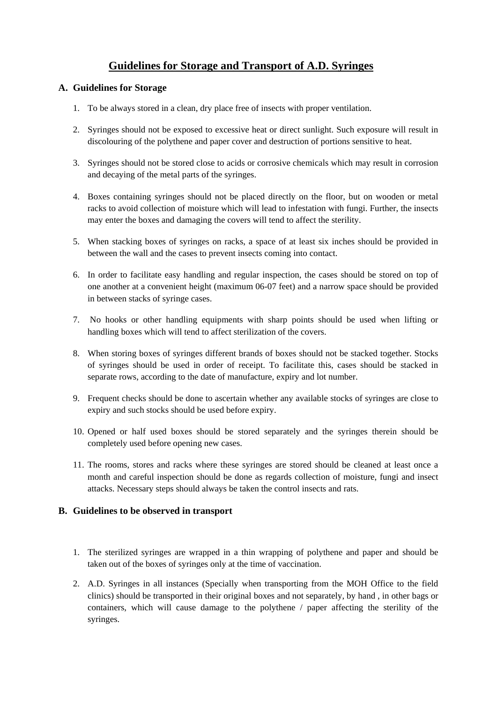## **Guidelines for Storage and Transport of A.D. Syringes**

## **A. Guidelines for Storage**

- 1. To be always stored in a clean, dry place free of insects with proper ventilation.
- 2. Syringes should not be exposed to excessive heat or direct sunlight. Such exposure will result in discolouring of the polythene and paper cover and destruction of portions sensitive to heat.
- 3. Syringes should not be stored close to acids or corrosive chemicals which may result in corrosion and decaying of the metal parts of the syringes.
- 4. Boxes containing syringes should not be placed directly on the floor, but on wooden or metal racks to avoid collection of moisture which will lead to infestation with fungi. Further, the insects may enter the boxes and damaging the covers will tend to affect the sterility.
- 5. When stacking boxes of syringes on racks, a space of at least six inches should be provided in between the wall and the cases to prevent insects coming into contact.
- 6. In order to facilitate easy handling and regular inspection, the cases should be stored on top of one another at a convenient height (maximum 06-07 feet) and a narrow space should be provided in between stacks of syringe cases.
- 7. No hooks or other handling equipments with sharp points should be used when lifting or handling boxes which will tend to affect sterilization of the covers.
- 8. When storing boxes of syringes different brands of boxes should not be stacked together. Stocks of syringes should be used in order of receipt. To facilitate this, cases should be stacked in separate rows, according to the date of manufacture, expiry and lot number.
- 9. Frequent checks should be done to ascertain whether any available stocks of syringes are close to expiry and such stocks should be used before expiry.
- 10. Opened or half used boxes should be stored separately and the syringes therein should be completely used before opening new cases.
- 11. The rooms, stores and racks where these syringes are stored should be cleaned at least once a month and careful inspection should be done as regards collection of moisture, fungi and insect attacks. Necessary steps should always be taken the control insects and rats.

## **B. Guidelines to be observed in transport**

- 1. The sterilized syringes are wrapped in a thin wrapping of polythene and paper and should be taken out of the boxes of syringes only at the time of vaccination.
- 2. A.D. Syringes in all instances (Specially when transporting from the MOH Office to the field clinics) should be transported in their original boxes and not separately, by hand , in other bags or containers, which will cause damage to the polythene / paper affecting the sterility of the syringes.